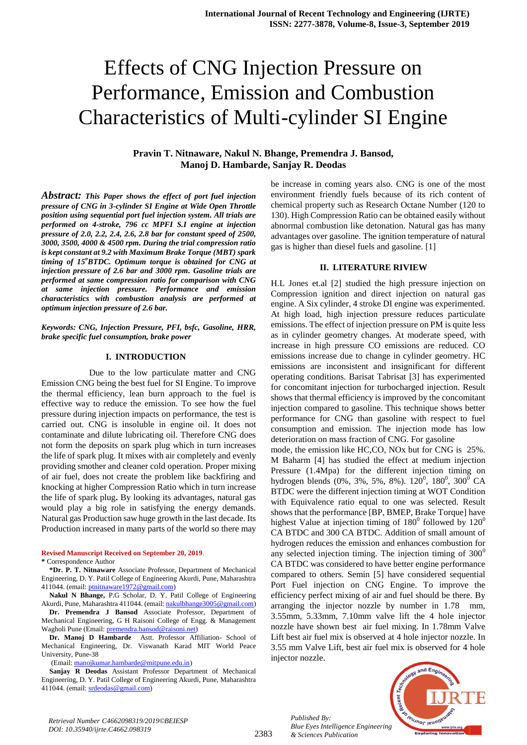# Effects of CNG Injection Pressure on Performance, Emission and Combustion Characteristics of Multi-cylinder SI Engine

# **Pravin T. Nitnaware, Nakul N. Bhange, Premendra J. Bansod, Manoj D. Hambarde, Sanjay R. Deodas**

*Abstract: This Paper shows the effect of port fuel injection pressure of CNG in 3-cylinder SI Engine at Wide Open Throttle position using sequential port fuel injection system. All trials are performed on 4-stroke, 796 cc MPFI S.I engine at injection pressure of 2.0, 2.2, 2.4, 2.6, 2.8 bar for constant speed of 2500, 3000, 3500, 4000 & 4500 rpm. During the trial compression ratio is kept constant at 9.2 with Maximum Brake Torque (MBT) spark timing of 15<sup>o</sup>BTDC. Optimum torque is obtained for CNG at injection pressure of 2.6 bar and 3000 rpm. Gasoline trials are performed at same compression ratio for comparison with CNG at same injection pressure. Performance and emission characteristics with combustion analysis are performed at optimum injection pressure of 2.6 bar.*

#### *Keywords: CNG, Injection Pressure, PFI, bsfc, Gasoline, HRR, brake specific fuel consumption, brake power*

#### **I. INTRODUCTION**

Due to the low particulate matter and CNG Emission CNG being the best fuel for SI Engine. To improve the thermal efficiency, lean burn approach to the fuel is effective way to reduce the emission. To see how the fuel pressure during injection impacts on performance, the test is carried out. CNG is insoluble in engine oil. It does not contaminate and dilute lubricating oil. Therefore CNG does not form the deposits on spark plug which in turn increases the life of spark plug. It mixes with air completely and evenly providing smother and cleaner cold operation. Proper mixing of air fuel, does not create the problem like backfiring and knocking at higher Compression Ratio which in turn increase the life of spark plug**.** By looking its advantages, natural gas would play a big role in satisfying the energy demands. Natural gas Production saw huge growth in the last decade. Its Production increased in many parts of the world so there may

#### **Revised Manuscript Received on September 20, 2019**.

**\*** Correspondence Author

**\*Dr. P. T. Nitnaware** Associate Professor, Department of Mechanical Engineering, D. Y. Patil College of Engineering Akurdi, Pune, Maharashtra 411044. (email: [ptnitnaware1972@gmail.com\)](mailto:ptnitnaware1972@gmail.com)

**Nakul N Bhange,** P.G Scholar, D. Y. Patil College of Engineering Akurdi, Pune, Maharashtra 411044. (email[: nakulbhange3005@gmail.com\)](mailto:nakulbhange3005@gmail.com)

**Dr. Premendra J Bansod** Associate Professor, Department of Mechanical Engineering, G H Raisoni College of Engg. & Management Wagholi Pune (Email[: premendra.bansod@raisoni.net\)](mailto:premendra.bansod@raisoni.net)

**Dr. Manoj D Hambarde** Astt. Professor Affiliation- School of Mechanical Engineering, Dr. Viswanath Karad MIT World Peace University, Pune-38

(Email: [manojkumar.hambarde@mitpune.edu.in\)](mailto:manojkumar.hambarde@mitpune.edu.in)

**Sanjay R Deodas** Assistant Professor Department of Mechanical Engineering, D. Y. Patil College of Engineering Akurdi, Pune, Maharashtra 411044. (email: [srdeodas@gmail.com\)](mailto:srdeodas@gmail.com)

be increase in coming years also. CNG is one of the most environment friendly fuels because of its rich content of chemical property such as Research Octane Number (120 to 130). High Compression Ratio can be obtained easily without abnormal combustion like detonation. Natural gas has many advantages over gasoline. The ignition temperature of natural gas is higher than diesel fuels and gasoline. [1]

#### **II. LITERATURE RIVIEW**

H.L Jones et.al [2] studied the high pressure injection on Compression ignition and direct injection on natural gas engine. A Six cylinder, 4 stroke DI engine was experimented. At high load, high injection pressure reduces particulate emissions. The effect of injection pressure on PM is quite less as in cylinder geometry changes. At moderate speed, with increase in high pressure CO emissions are reduced. CO emissions increase due to change in cylinder geometry. HC emissions are inconsistent and insignificant for different operating conditions. Barisat Tabrisat [3] has experimented for concomitant injection for turbocharged injection. Result shows that thermal efficiency is improved by the concomitant injection compared to gasoline. This technique shows better performance for CNG than gasoline with respect to fuel consumption and emission. The injection mode has low deterioration on mass fraction of CNG. For gasoline

mode, the emission like HC,CO, NOx but for CNG is 25%. M Baharm [4] has studied the effect at medium injection Pressure (1.4Mpa) for the different injection timing on hydrogen blends (0%, 3%, 5%, 8%).  $120^0$ ,  $180^0$ ,  $300^0$  CA BTDC were the different injection timing at WOT Condition with Equivalence ratio equal to one was selected. Result shows that the performance [BP, BMEP, Brake Torque] have highest Value at injection timing of  $180^{\circ}$  followed by  $120^{\circ}$ CA BTDC and 300 CA BTDC. Addition of small amount of hydrogen reduces the emission and enhances combustion for any selected injection timing. The injection timing of  $300^\circ$ CA BTDC was considered to have better engine performance compared to others. Semin [5] have considered sequential Port Fuel injection on CNG Engine. To improve the efficiency perfect mixing of air and fuel should be there. By arranging the injector nozzle by number in 1.78 mm, 3.55mm, 5.33mm, 7.10mm valve lift the 4 hole injector nozzle have shown best air fuel mixing. In 1.78mm Valve Lift best air fuel mix is observed at 4 hole injector nozzle. In 3.55 mm Valve Lift, best air fuel mix is observed for 4 hole injector nozzle.

*Published By: Blue Eyes Intelligence Engineering & Sciences Publication* 

2383

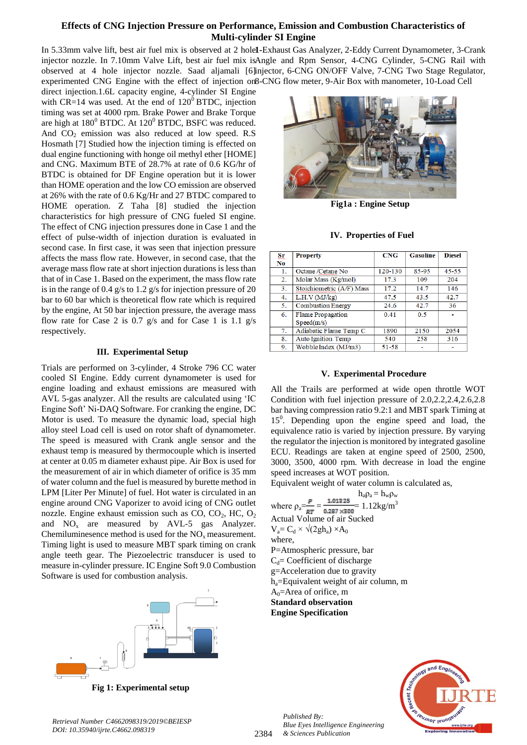# **Effects of CNG Injection Pressure on Performance, Emission and Combustion Characteristics of Multi-cylinder SI Engine**

In 5.33mm valve lift, best air fuel mix is observed at 2 hole1-Exhaust Gas Analyzer, 2-Eddy Current Dynamometer, 3-Crank injector nozzle. In 7.10mm Valve Lift, best air fuel mix isAngle and Rpm Sensor, 4-CNG Cylinder, 5-CNG Rail with observed at 4 hole injector nozzle. Saad aljamali [6] injector, 6-CNG ON/OFF Valve, 7-CNG Two Stage Regulator, experimented CNG Engine with the effect of injection on 8-CNG flow meter, 9-Air Box with manometer, 10-Load Cell

direct injection.1.6L capacity engine, 4-cylinder SI Engine with CR=14 was used. At the end of  $120^{\circ}$  BTDC, injection timing was set at 4000 rpm. Brake Power and Brake Torque are high at  $180^0$  BTDC. At  $120^0$  BTDC, BSFC was reduced. And  $CO<sub>2</sub>$  emission was also reduced at low speed. R.S Hosmath [7] Studied how the injection timing is effected on dual engine functioning with honge oil methyl ether [HOME] and CNG. Maximum BTE of 28.7% at rate of 0.6 KG/hr of BTDC is obtained for DF Engine operation but it is lower than HOME operation and the low CO emission are observed at 26% with the rate of 0.6 Kg/Hr and 27 BTDC compared to HOME operation. Z Taha [8] studied the injection characteristics for high pressure of CNG fueled SI engine.  The effect of CNG injection pressures done in Case 1 and the effect of pulse-width of injection duration is evaluated in second case. In first case, it was seen that injection pressure affects the mass flow rate. However, in second case, that the average mass flow rate at short injection durations is less than that of in Case 1. Based on the experiment, the mass flow rate is in the range of 0.4 g/s to 1.2 g/s for injection pressure of 20 bar to 60 bar which is theoretical flow rate which is required by the engine, At 50 bar injection pressure, the average mass flow rate for Case 2 is 0.7 g/s and for Case 1 is 1.1 g/s respectively.

### **III. Experimental Setup**

Trials are performed on 3-cylinder, 4 Stroke 796 CC water cooled SI Engine. Eddy current dynamometer is used for engine loading and exhaust emissions are measured with AVL 5-gas analyzer. All the results are calculated using 'IC Engine Soft' Ni-DAQ Software. For cranking the engine, DC Motor is used. To measure the dynamic load, special high alloy steel Load cell is used on rotor shaft of dynamometer. The speed is measured with Crank angle sensor and the exhaust temp is measured by thermocouple which is inserted at center at 0.05 m diameter exhaust pipe. Air Box is used for the measurement of air in which diameter of orifice is 35 mm of water column and the fuel is measured by burette method in LPM [Liter Per Minute] of fuel. Hot water is circulated in an engine around CNG Vaporizer to avoid icing of CNG outlet nozzle. Engine exhaust emission such as  $CO$ ,  $CO<sub>2</sub>$ , HC,  $O<sub>2</sub>$ and  $NO_x$  are measured by AVL-5 gas Analyzer. Chemiluminesence method is used for the  $NO<sub>x</sub>$  measurement. Timing light is used to measure MBT spark timing on crank angle teeth gear. The Piezoelectric transducer is used to measure in-cylinder pressure. IC Engine Soft 9.0 Combustion Software is used for combustion analysis.



**Fig 1: Experimental setup**



**Fig1a : Engine Setup** 

**IV. Properties of Fuel**

| <u>Sr</u>      | <b>Property</b>           | CNG       | <b>Gasoline</b> | <b>Diesel</b> |
|----------------|---------------------------|-----------|-----------------|---------------|
| N <sub>0</sub> |                           |           |                 |               |
| 1.             | Octane /Cetane No         | 120-130   | 85-95           | $45 - 55$     |
| 2.             | Molar Mass (Kg/mol)       | 17.3      | 109             | 204           |
| 3.             | Stoichiometric (A/F) Mass | 17.2      | 14.7            | 146           |
| 4.             | L.H.V (MJ/kg)             | 47.5      | 43.5            | 42.7          |
| 5.             | <b>Combustion Energy</b>  | 24.6      | 42.7            | 36            |
| 6.             | <b>Flame Propagation</b>  | 0.41      | 0.5             |               |
|                | Speed(m/s)                |           |                 |               |
| 7.             | Adiabatic Flame Temp C    | 1890      | 2150            | 2054          |
| 8.             | <b>Auto Ignition Temp</b> | 540       | 258             | 316           |
| 9.             | Wobble Index (MJ/m3)      | $51 - 58$ |                 |               |

# **V. Experimental Procedure**

All the Trails are performed at wide open throttle WOT Condition with fuel injection pressure of 2.0,2.2,2.4,2.6,2.8 bar having compression ratio 9.2:1 and MBT spark Timing at 15<sup>0</sup>. Depending upon the engine speed and load, the equivalence ratio is varied by injection pressure. By varying the regulator the injection is monitored by integrated gasoline ECU. Readings are taken at engine speed of 2500, 2500, 3000, 3500, 4000 rpm. With decrease in load the engine speed increases at WOT position.

Equivalent weight of water column is calculated as,

 $h_a \rho_a = h_w \rho_w$ where  $\rho_a = \frac{P}{RT} = \frac{1.01325}{0.287 \times 300} = 1.12 \text{kg/m}^3$ Actual Volume of air Sucked  $V_a = C_d \times \sqrt{2gh_a} \times A_0$ where, P=Atmospheric pressure, bar  $C_d$ = Coefficient of discharge g=Acceleration due to gravity ha=Equivalent weight of air column, m  $A<sub>0</sub>=$ Area of orifice, m **Standard observation Engine Specification**



*Retrieval Number C4662098319/2019©BEIESP DOI: 10.35940/ijrte.C4662.098319*

*Published By:*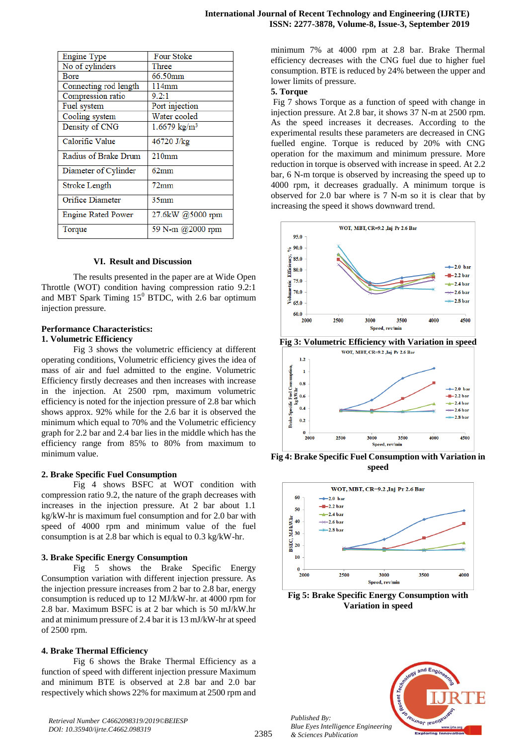| Engine Type               | Four Stoke              |  |
|---------------------------|-------------------------|--|
| No of cylinders           | Three                   |  |
| Bore                      | 66.50mm                 |  |
| Connecting rod length     | 114mm                   |  |
| Compression ratio         | 9.2:1                   |  |
| Fuel system               | Port injection          |  |
| Cooling system            | Water cooled            |  |
| Density of CNG            | $1.6679 \text{ kg/m}^3$ |  |
| Calorific Value           | 46720 J/kg              |  |
| Radius of Brake Drum      | 210mm                   |  |
| Diameter of Cylinder      | $62 \text{mm}$          |  |
| Stroke Length             | $72$ mm                 |  |
| Orifice Diameter          | 35 <sub>mm</sub>        |  |
| <b>Engine Rated Power</b> | 27.6kW @5000 rpm        |  |
| Torque                    | 59 N-m @2000 rpm        |  |

#### **VI. Result and Discussion**

The results presented in the paper are at Wide Open Throttle (WOT) condition having compression ratio 9.2:1 and MBT Spark Timing  $15^{\circ}$  BTDC, with 2.6 bar optimum injection pressure.

# **Performance Characteristics:**

#### **1. Volumetric Efficiency**

Fig 3 shows the volumetric efficiency at different operating conditions, Volumetric efficiency gives the idea of mass of air and fuel admitted to the engine. Volumetric Efficiency firstly decreases and then increases with increase in the injection. At 2500 rpm, maximum volumetric efficiency is noted for the injection pressure of 2.8 bar which shows approx. 92% while for the 2.6 bar it is observed the minimum which equal to 70% and the Volumetric efficiency graph for 2.2 bar and 2.4 bar lies in the middle which has the efficiency range from 85% to 80% from maximum to minimum value.

#### **2. Brake Specific Fuel Consumption**

Fig 4 shows BSFC at WOT condition with compression ratio 9.2, the nature of the graph decreases with increases in the injection pressure. At 2 bar about 1.1 kg/kW-hr is maximum fuel consumption and for 2.0 bar with speed of 4000 rpm and minimum value of the fuel consumption is at 2.8 bar which is equal to 0.3 kg/kW-hr.

#### **3. Brake Specific Energy Consumption**

Fig 5 shows the Brake Specific Energy Consumption variation with different injection pressure. As the injection pressure increases from 2 bar to 2.8 bar, energy consumption is reduced up to 12 MJ/kW-hr. at 4000 rpm for 2.8 bar. Maximum BSFC is at 2 bar which is 50 mJ/kW.hr and at minimum pressure of 2.4 bar it is 13 mJ/kW-hr at speed of 2500 rpm.

#### **4. Brake Thermal Efficiency**

Fig 6 shows the Brake Thermal Efficiency as a function of speed with different injection pressure Maximum and minimum BTE is observed at 2.8 bar and 2.0 bar respectively which shows 22% for maximum at 2500 rpm and

minimum 7% at 4000 rpm at 2.8 bar. Brake Thermal efficiency decreases with the CNG fuel due to higher fuel consumption. BTE is reduced by 24% between the upper and lower limits of pressure.

#### **5. Torque**

Fig 7 shows Torque as a function of speed with change in injection pressure. At 2.8 bar, it shows 37 N-m at 2500 rpm. As the speed increases it decreases. According to the experimental results these parameters are decreased in CNG fuelled engine. Torque is reduced by 20% with CNG operation for the maximum and minimum pressure. More reduction in torque is observed with increase in speed. At 2.2 bar, 6 N-m torque is observed by increasing the speed up to 4000 rpm, it decreases gradually. A minimum torque is observed for 2.0 bar where is 7 N-m so it is clear that by increasing the speed it shows downward trend.





**Fig 4: Brake Specific Fuel Consumption with Variation in speed**



**Fig 5: Brake Specific Energy Consumption with Variation in speed**



*Published By:*

*& Sciences Publication*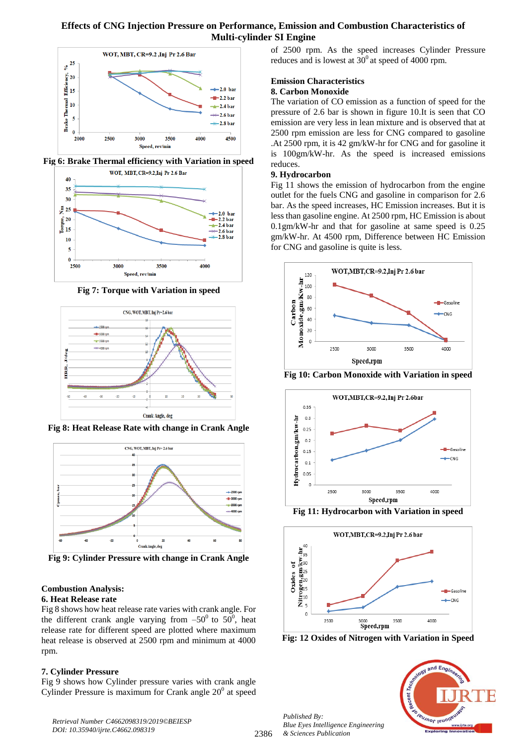# **Effects of CNG Injection Pressure on Performance, Emission and Combustion Characteristics of Multi-cylinder SI Engine**



**Fig 6: Brake Thermal efficiency with Variation in speed**



**Fig 7: Torque with Variation in speed**



**Fig 8: Heat Release Rate with change in Crank Angle**



**Fig 9: Cylinder Pressure with change in Crank Angle**

# **Combustion Analysis:**

# **6. Heat Release rate**

Fig 8 shows how heat release rate varies with crank angle. For the different crank angle varying from  $-50^0$  to  $50^0$ , heat release rate for different speed are plotted where maximum heat release is observed at 2500 rpm and minimum at 4000 rpm.

# **7. Cylinder Pressure**

Fig 9 shows how Cylinder pressure varies with crank angle Cylinder Pressure is maximum for Crank angle  $20^0$  at speed of 2500 rpm. As the speed increases Cylinder Pressure reduces and is lowest at  $30^{\circ}$  at speed of 4000 rpm.

# **Emission Characteristics**

# **8. Carbon Monoxide**

The variation of CO emission as a function of speed for the pressure of 2.6 bar is shown in figure 10.It is seen that CO emission are very less in lean mixture and is observed that at 2500 rpm emission are less for CNG compared to gasoline .At 2500 rpm, it is 42 gm/kW-hr for CNG and for gasoline it is 100gm/kW-hr. As the speed is increased emissions reduces.

# **9. Hydrocarbon**

Fig 11 shows the emission of hydrocarbon from the engine outlet for the fuels CNG and gasoline in comparison for 2.6 bar. As the speed increases, HC Emission increases. But it is less than gasoline engine. At 2500 rpm, HC Emission is about 0.1gm/kW-hr and that for gasoline at same speed is 0.25 gm/kW-hr. At 4500 rpm, Difference between HC Emission for CNG and gasoline is quite is less.



**Fig 10: Carbon Monoxide with Variation in speed**



**Fig 11: Hydrocarbon with Variation in speed**



**Fig: 12 Oxides of Nitrogen with Variation in Speed**

*Published By: Blue Eyes Intelligence Engineering & Sciences Publication* 



*Retrieval Number C4662098319/2019©BEIESP DOI: 10.35940/ijrte.C4662.098319*